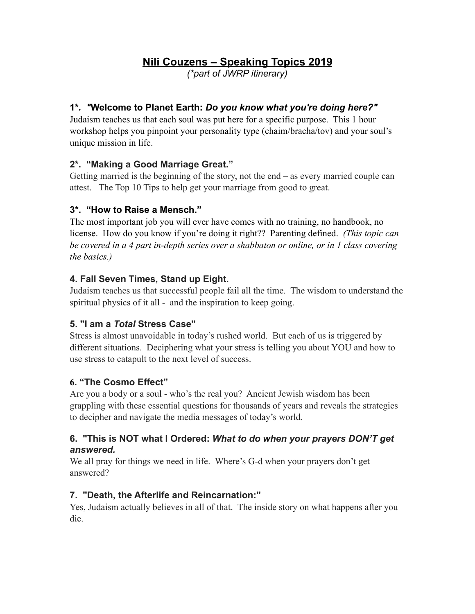# **Nili Couzens – Speaking Topics 2019**

*(\*part of JWRP itinerary)* 

### **1\****. "***Welcome to Planet Earth:** *Do you know what you're doing here?"*

Judaism teaches us that each soul was put here for a specific purpose. This 1 hour workshop helps you pinpoint your personality type (chaim/bracha/tov) and your soul's unique mission in life.

### **2\*. "Making a Good Marriage Great."**

Getting married is the beginning of the story, not the end – as every married couple can attest. The Top 10 Tips to help get your marriage from good to great.

### **3\*. "How to Raise a Mensch."**

The most important job you will ever have comes with no training, no handbook, no license. How do you know if you're doing it right?? Parenting defined. *(This topic can be covered in a 4 part in-depth series over a shabbaton or online, or in 1 class covering the basics.)* 

### **4. Fall Seven Times, Stand up Eight.**

Judaism teaches us that successful people fail all the time. The wisdom to understand the spiritual physics of it all - and the inspiration to keep going.

# **5. "I am a** *Total* **Stress Case"**

Stress is almost unavoidable in today's rushed world. But each of us is triggered by different situations. Deciphering what your stress is telling you about YOU and how to use stress to catapult to the next level of success.

#### **6. "The Cosmo Effect"**

Are you a body or a soul - who's the real you? Ancient Jewish wisdom has been grappling with these essential questions for thousands of years and reveals the strategies to decipher and navigate the media messages of today's world.

#### **6. "This is NOT what I Ordered:** *What to do when your prayers DON'T get answered.*

We all pray for things we need in life. Where's G-d when your prayers don't get answered?

#### **7. "Death, the Afterlife and Reincarnation:"**

Yes, Judaism actually believes in all of that. The inside story on what happens after you die.